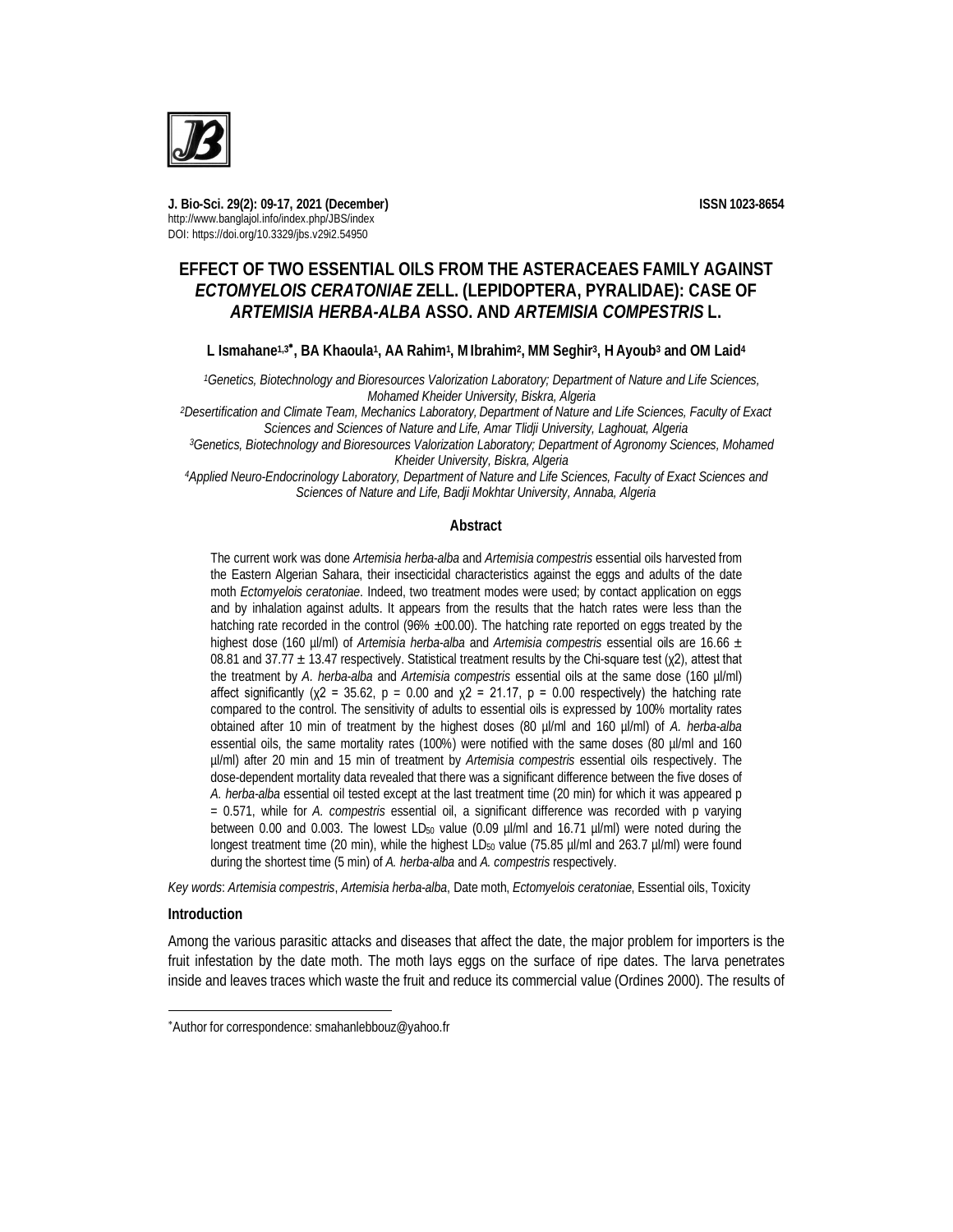

**J. Bio-Sci. 29(2): 09-17, 2021 (December) ISSN 1023-8654** http://www.banglajol.info/index.php/JBS/index DOI: https://doi.org/10.3329/jbs.v29i2.54950

# **EFFECT OF TWO ESSENTIAL OILS FROM THE ASTERACEAES FAMILY AGAINST**  *ECTOMYELOIS CERATONIAE* **ZELL. (LEPIDOPTERA, PYRALIDAE): CASE OF**  *ARTEMISIA HERBA-ALBA* **ASSO. AND** *ARTEMISIA COMPESTRIS* **L.**

## **L Ismahane1,3 , BA Khaoula<sup>1</sup> , AA Rahim<sup>1</sup> , MIbrahim<sup>2</sup> , MM Seghir<sup>3</sup> , H Ayoub<sup>3</sup> and OM Laid<sup>4</sup>**

*<sup>1</sup>Genetics, Biotechnology and Bioresources Valorization Laboratory; Department of Nature and Life Sciences, Mohamed Kheider University, Biskra, Algeria* 

*<sup>2</sup>Desertification and Climate Team, Mechanics Laboratory, Department of Nature and Life Sciences, Faculty of Exact Sciences and Sciences of Nature and Life, Amar Tlidji University, Laghouat, Algeria*

*<sup>3</sup>Genetics, Biotechnology and Bioresources Valorization Laboratory; Department of Agronomy Sciences, Mohamed Kheider University, Biskra, Algeria*

*<sup>4</sup>Applied Neuro-Endocrinology Laboratory, Department of Nature and Life Sciences, Faculty of Exact Sciences and Sciences of Nature and Life, Badji Mokhtar University, Annaba, Algeria*

#### **Abstract**

The current work was done *Artemisia herba*-*alba* and *Artemisia compestris* essential oils harvested from the Eastern Algerian Sahara, their insecticidal characteristics against the eggs and adults of the date moth *Ectomyelois ceratoniae*. Indeed, two treatment modes were used; by contact application on eggs and by inhalation against adults. It appears from the results that the hatch rates were less than the hatching rate recorded in the control (96% ±00.00). The hatching rate reported on eggs treated by the highest dose (160 µl/ml) of *Artemisia herba*-*alba* and *Artemisia compestris* essential oils are 16.66 ± 08.81 and 37.77  $\pm$  13.47 respectively. Statistical treatment results by the Chi-square test ( $\chi$ 2), attest that the treatment by *A. herba-alba* and *Artemisia compestris* essential oils at the same dose (160 µl/ml) affect significantly ( $\chi$ 2 = 35.62, p = 0.00 and  $\chi$ 2 = 21.17, p = 0.00 respectively) the hatching rate compared to the control. The sensitivity of adults to essential oils is expressed by 100% mortality rates obtained after 10 min of treatment by the highest doses (80 µl/ml and 160 µl/ml) of *A. herba-alba* essential oils, the same mortality rates (100%) were notified with the same doses (80 µl/ml and 160 µl/ml) after 20 min and 15 min of treatment by *Artemisia compestris* essential oils respectively. The dose-dependent mortality data revealed that there was a significant difference between the five doses of *A. herba-alba* essential oil tested except at the last treatment time (20 min) for which it was appeared p = 0.571, while for *A. compestris* essential oil, a significant difference was recorded with p varying between 0.00 and 0.003. The lowest LD<sub>50</sub> value (0.09 µl/ml and 16.71 µl/ml) were noted during the longest treatment time (20 min), while the highest LD<sub>50</sub> value (75.85 µl/ml and 263.7 µl/ml) were found during the shortest time (5 min) of *A. herba-alba* and *A. compestris* respectively.

*Key words*: *Artemisia compestris*, *Artemisia herba-alba*, Date moth, *Ectomyelois ceratoniae*, Essential oils, Toxicity

### **Introduction**

 $\overline{a}$ 

Among the various parasitic attacks and diseases that affect the date, the major problem for importers is the fruit infestation by the date moth. The moth lays eggs on the surface of ripe dates. The larva penetrates inside and leaves traces which waste the fruit and reduce its commercial value (Ordines 2000). The results of

Author for correspondence: smahanlebbouz@yahoo.fr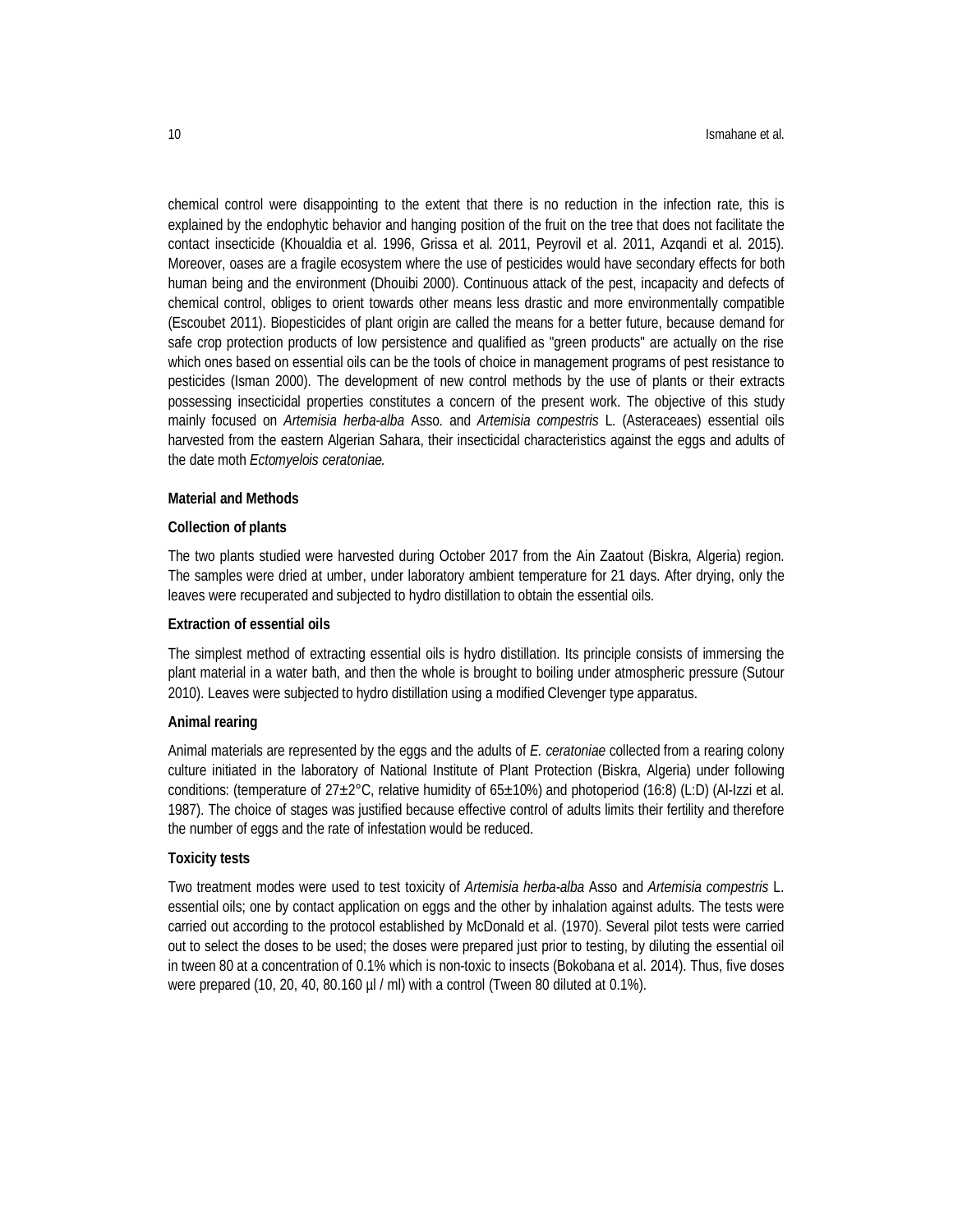chemical control were disappointing to the extent that there is no reduction in the infection rate, this is explained by the endophytic behavior and hanging position of the fruit on the tree that does not facilitate the contact insecticide (Khoualdia et al. 1996, Grissa et al. 2011, Peyrovil et al. 2011, Azqandi et al. 2015). Moreover, oases are a fragile ecosystem where the use of pesticides would have secondary effects for both human being and the environment (Dhouibi 2000). Continuous attack of the pest, incapacity and defects of chemical control, obliges to orient towards other means less drastic and more environmentally compatible (Escoubet 2011). Biopesticides of plant origin are called the means for a better future, because demand for safe crop protection products of low persistence and qualified as "green products" are actually on the rise which ones based on essential oils can be the tools of choice in management programs of pest resistance to pesticides (Isman 2000). The development of new control methods by the use of plants or their extracts possessing insecticidal properties constitutes a concern of the present work. The objective of this study mainly focused on *Artemisia herba*-*alba* Asso. and *Artemisia compestris* L. (Asteraceaes) essential oils harvested from the eastern Algerian Sahara, their insecticidal characteristics against the eggs and adults of the date moth *Ectomyelois ceratoniae.*

#### **Material and Methods**

#### **Collection of plants**

The two plants studied were harvested during October 2017 from the Ain Zaatout (Biskra, Algeria) region. The samples were dried at umber, under laboratory ambient temperature for 21 days. After drying, only the leaves were recuperated and subjected to hydro distillation to obtain the essential oils.

### **Extraction of essential oils**

The simplest method of extracting essential oils is hydro distillation. Its principle consists of immersing the plant material in a water bath, and then the whole is brought to boiling under atmospheric pressure (Sutour 2010). Leaves were subjected to hydro distillation using a modified Clevenger type apparatus.

#### **Animal rearing**

Animal materials are represented by the eggs and the adults of *E. ceratoniae* collected from a rearing colony culture initiated in the laboratory of National Institute of Plant Protection (Biskra, Algeria) under following conditions: (temperature of  $27\pm2^{\circ}$ C, relative humidity of  $65\pm10\%$ ) and photoperiod (16:8) (L:D) (Al-Izzi et al. 1987). The choice of stages was justified because effective control of adults limits their fertility and therefore the number of eggs and the rate of infestation would be reduced.

#### **Toxicity tests**

Two treatment modes were used to test toxicity of *Artemisia herba-alba* Asso and *Artemisia compestris* L. essential oils; one by contact application on eggs and the other by inhalation against adults. The tests were carried out according to the protocol established by McDonald et al. (1970). Several pilot tests were carried out to select the doses to be used; the doses were prepared just prior to testing, by diluting the essential oil in tween 80 at a concentration of 0.1% which is non-toxic to insects (Bokobana et al. 2014). Thus, five doses were prepared (10, 20, 40, 80.160 µl / ml) with a control (Tween 80 diluted at 0.1%).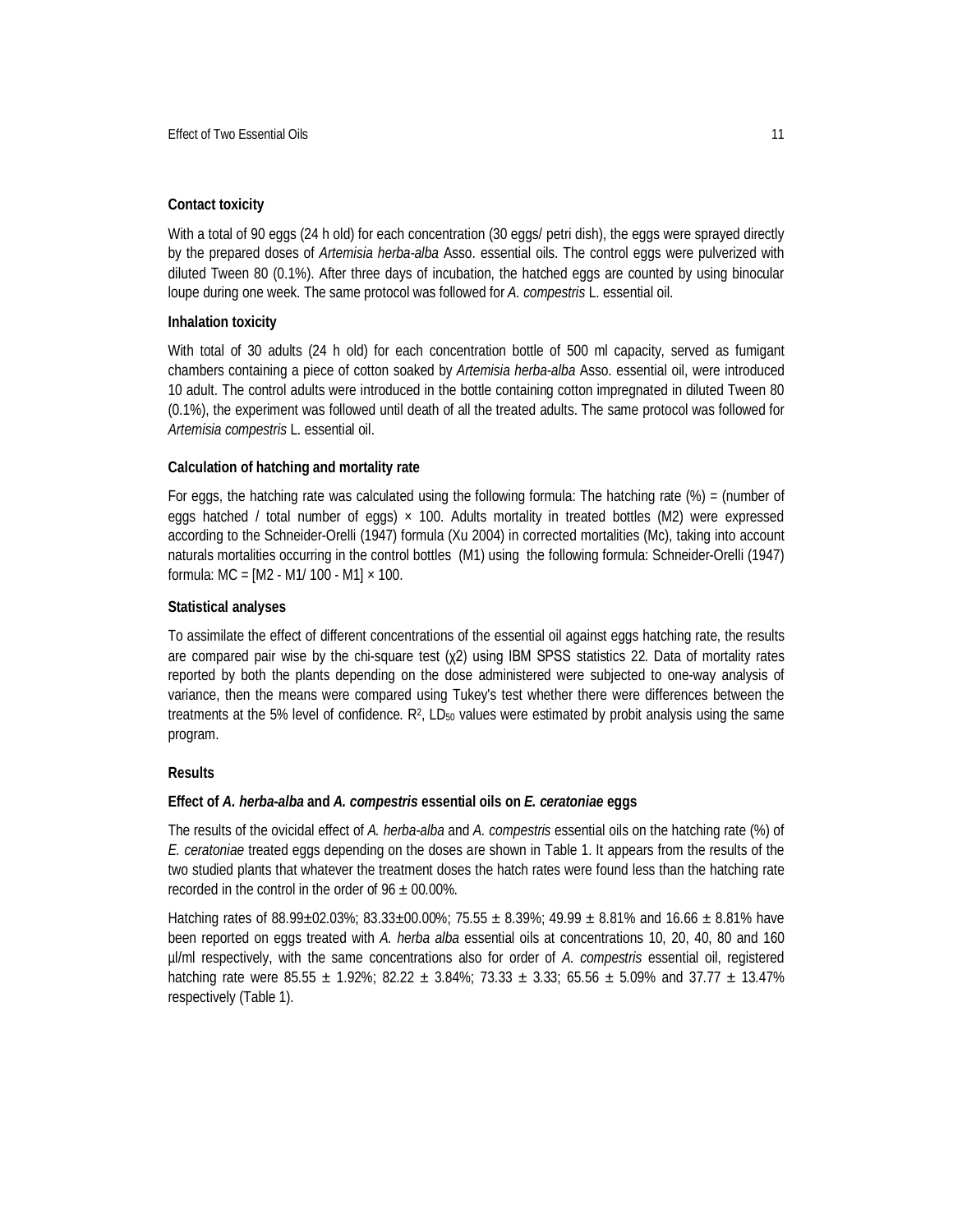### **Contact toxicity**

With a total of 90 eggs (24 h old) for each concentration (30 eggs/ petri dish), the eggs were sprayed directly by the prepared doses of *Artemisia herba-alba* Asso. essential oils. The control eggs were pulverized with diluted Tween 80 (0.1%). After three days of incubation, the hatched eggs are counted by using binocular loupe during one week. The same protocol was followed for *A. compestris* L. essential oil.

### **Inhalation toxicity**

With total of 30 adults (24 h old) for each concentration bottle of 500 ml capacity, served as fumigant chambers containing a piece of cotton soaked by *Artemisia herba-alba* Asso. essential oil, were introduced 10 adult. The control adults were introduced in the bottle containing cotton impregnated in diluted Tween 80 (0.1%), the experiment was followed until death of all the treated adults. The same protocol was followed for *Artemisia compestris* L. essential oil.

### **Calculation of hatching and mortality rate**

For eggs, the hatching rate was calculated using the following formula: The hatching rate  $\%$  = (number of eggs hatched / total number of eggs)  $\times$  100. Adults mortality in treated bottles (M2) were expressed according to the Schneider-Orelli (1947) formula (Xu 2004) in corrected mortalities (Mc), taking into account naturals mortalities occurring in the control bottles (M1) using the following formula: Schneider-Orelli (1947) formula:  $MC = [M2 - M1/ 100 - M1] \times 100$ .

### **Statistical analyses**

To assimilate the effect of different concentrations of the essential oil against eggs hatching rate, the results are compared pair wise by the chi-square test  $(x2)$  using IBM SPSS statistics 22. Data of mortality rates reported by both the plants depending on the dose administered were subjected to one-way analysis of variance, then the means were compared using Tukey's test whether there were differences between the treatments at the 5% level of confidence. R<sup>2</sup>, LD<sub>50</sub> values were estimated by probit analysis using the same program.

### **Results**

### **Effect of** *A. herba-alba* **and** *A. compestris* **essential oils on** *E. ceratoniae* **eggs**

The results of the ovicidal effect of *A. herba-alba* and *A. compestris* essential oils on the hatching rate (%) of *E. ceratoniae* treated eggs depending on the doses are shown in Table 1. It appears from the results of the two studied plants that whatever the treatment doses the hatch rates were found less than the hatching rate recorded in the control in the order of  $96 \pm 00.00\%$ .

Hatching rates of 88.99±02.03%; 83.33±00.00%; 75.55 ± 8.39%; 49.99 ± 8.81% and 16.66 ± 8.81% have been reported on eggs treated with *A. herba alba* essential oils at concentrations 10, 20, 40, 80 and 160 µl/ml respectively, with the same concentrations also for order of *A. compestris* essential oil, registered hatching rate were 85.55  $\pm$  1.92%; 82.22  $\pm$  3.84%; 73.33  $\pm$  3.33; 65.56  $\pm$  5.09% and 37.77  $\pm$  13.47% respectively (Table 1).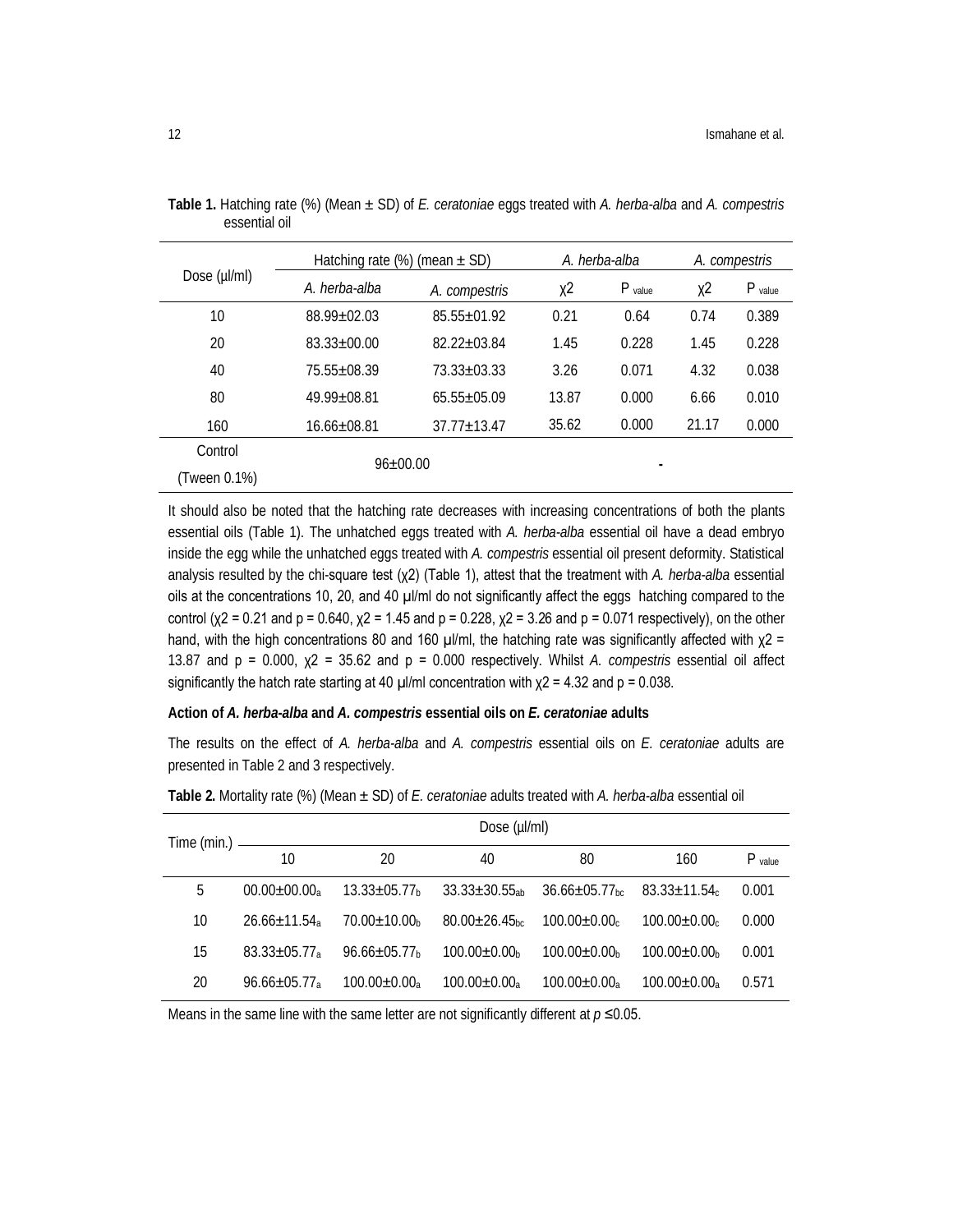| Dose (µl/ml) | Hatching rate $(\%)$ (mean $\pm$ SD) |                   | A. herba-alba |           | A. compestris |           |
|--------------|--------------------------------------|-------------------|---------------|-----------|---------------|-----------|
|              | A. herba-alba                        | A. compestris     | $x^2$         | $P$ value | χ2            | $P$ value |
| 10           | $88.99 \pm 02.03$                    | $85.55 + 01.92$   | 0.21          | 0.64      | 0.74          | 0.389     |
| 20           | $83.33 + 00.00$                      | $82.22 + 0.3.84$  | 1.45          | 0.228     | 1.45          | 0.228     |
| 40           | 75.55+08.39                          | $73.33 + 03.33$   | 3.26          | 0.071     | 4.32          | 0.038     |
| 80           | 49.99+08.81                          | $65.55 \pm 05.09$ | 13.87         | 0.000     | 6.66          | 0.010     |
| 160          | $16.66 \pm 08.81$                    | $37.77 \pm 13.47$ | 35.62         | 0.000     | 21.17         | 0.000     |
| Control      | $96 \pm 00.00$                       |                   |               |           |               |           |
| (Tween 0.1%) |                                      |                   |               |           |               |           |

**Table 1.** Hatching rate (%) (Mean ± SD) of *E. ceratoniae* eggs treated with *A. herba-alba* and *A. compestris*  essential oil

It should also be noted that the hatching rate decreases with increasing concentrations of both the plants essential oils (Table 1). The unhatched eggs treated with *A. herba-alba* essential oil have a dead embryo inside the egg while the unhatched eggs treated with *A. compestris* essential oil present deformity. Statistical analysis resulted by the chi-square test (χ2) (Table 1), attest that the treatment with *A. herba-alba* essential oils at the concentrations 10, 20, and 40 µl/ml do not significantly affect the eggs hatching compared to the control (χ2 = 0.21 and  $p = 0.640$ , χ2 = 1.45 and  $p = 0.228$ , χ2 = 3.26 and  $p = 0.071$  respectively), on the other hand, with the high concentrations 80 and 160  $\mu$ I/ml, the hatching rate was significantly affected with  $\chi$ 2 = 13.87 and p = 0.000, χ2 = 35.62 and p = 0.000 respectively. Whilst *A. compestris* essential oil affect significantly the hatch rate starting at 40  $\mu$ I/ml concentration with  $\chi$ 2 = 4.32 and p = 0.038.

#### **Action of** *A. herba-alba* **and** *A. compestris* **essential oils on** *E. ceratoniae* **adults**

The results on the effect of *A. herba-alba* and *A. compestris* essential oils on *E. ceratoniae* adults are presented in Table 2 and 3 respectively.

| $Time (min.)$ — | Dose (µl/ml)      |                                |                                 |                                 |                                |           |
|-----------------|-------------------|--------------------------------|---------------------------------|---------------------------------|--------------------------------|-----------|
|                 | 10                | 20                             | 40                              | 80                              | 160                            | $P$ value |
| 5               | $00.00 \pm 00.00$ | $13.33 \pm 05.77$ <sub>h</sub> | $33.33 \pm 30.55$ <sub>ah</sub> | $36.66 \pm 05.77$ <sub>hc</sub> | $83.33 \pm 11.54$              | 0.001     |
| 10              | $26.66 \pm 11.54$ | $70.00 \pm 10.00$ h            | $80.00 \pm 26.45$ <sub>bc</sub> | $100.00 \pm 0.00$ c             | $100.00 \pm 0.00$ c            | 0.000     |
| 15              | $83.33 \pm 05.77$ | $96.66 \pm 05.77$ h            | $100.00 \pm 0.00$ <sub>h</sub>  | $100.00 \pm 0.00$ <sub>h</sub>  | $100.00 \pm 0.00$ <sub>h</sub> | 0.001     |
| 20              | $96.66 \pm 05.77$ | $100.00 \pm 0.00$              | $100.00 \pm 0.00$ <sub>a</sub>  | $100.00 \pm 0.00$ <sub>a</sub>  | $100.00 \pm 0.00$ <sub>2</sub> | 0.571     |

**Table 2.** Mortality rate (%) (Mean ± SD) of *E. ceratoniae* adults treated with *A. herba-alba* essential oil

Means in the same line with the same letter are not significantly different at  $p \le 0.05$ .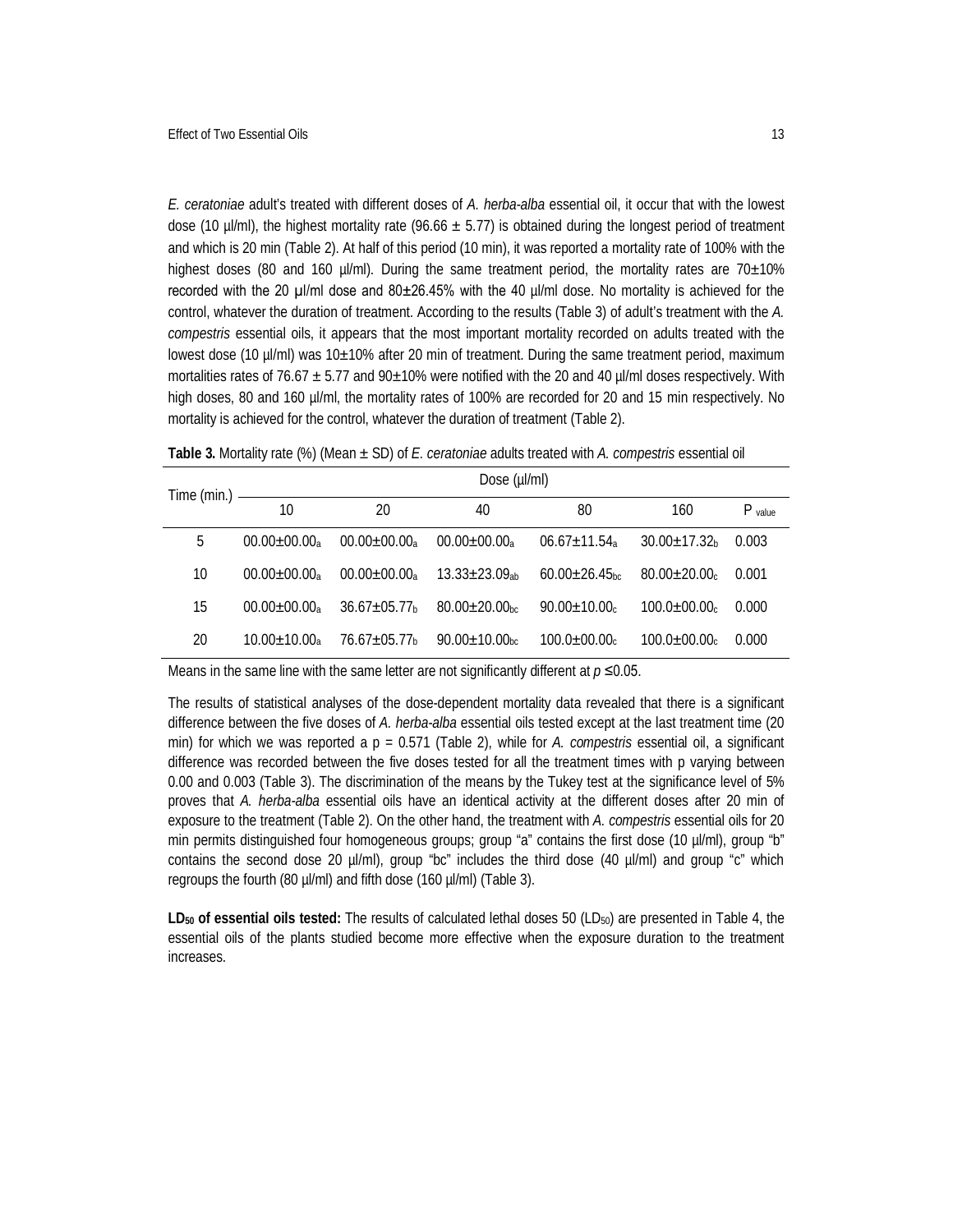*E. ceratoniae* adult's treated with different doses of *A. herba-alba* essential oil, it occur that with the lowest dose (10 µl/ml), the highest mortality rate (96.66  $\pm$  5.77) is obtained during the longest period of treatment and which is 20 min (Table 2). At half of this period (10 min), it was reported a mortality rate of 100% with the highest doses (80 and 160 µl/ml). During the same treatment period, the mortality rates are 70±10% recorded with the 20 µl/ml dose and 80±26.45% with the 40 µl/ml dose. No mortality is achieved for the control, whatever the duration of treatment. According to the results (Table 3) of adult's treatment with the *A. compestris* essential oils, it appears that the most important mortality recorded on adults treated with the lowest dose (10 µl/ml) was 10±10% after 20 min of treatment. During the same treatment period, maximum mortalities rates of 76.67  $\pm$  5.77 and 90 $\pm$ 10% were notified with the 20 and 40 µl/ml doses respectively. With high doses, 80 and 160 µl/ml, the mortality rates of 100% are recorded for 20 and 15 min respectively. No mortality is achieved for the control, whatever the duration of treatment (Table 2).

|    | Dose (µl/ml)      |                     |                                 |                                 |                     |           |
|----|-------------------|---------------------|---------------------------------|---------------------------------|---------------------|-----------|
|    | 10                | 20                  | 40                              | 80                              | 160                 | $P$ value |
| 5  | $00.00 \pm 00.00$ | $00.00 \pm 00.00$   | $00.00+00.00a$                  | $06.67 \pm 11.54$ <sub>a</sub>  | $30.00 \pm 17.32$   | 0.003     |
| 10 | $00.00 \pm 00.00$ | $00.00 \pm 00.00$   | $13.33 \pm 23.09_{ab}$          | $60.00 \pm 26.45$ <sub>bc</sub> | $80.00 \pm 20.00$   | 0.001     |
| 15 | $00.00 \pm 00.00$ | $36.67 \pm 05.77$ h | $80.00+20.00$ <sub>hc</sub>     | $90.00 \pm 10.00$ c             | $100.0 \pm 00.00$ c | 0.000     |
| 20 | $10.00 \pm 10.00$ | 76.67±05.77⊾        | $90.00 \pm 10.00$ <sub>bc</sub> | $100.0 \pm 00.00$ c             | $100.0 \pm 00.00$ c | 0.000     |

**Table 3.** Mortality rate (%) (Mean ± SD) of *E. ceratoniae* adults treated with *A. compestris* essential oil

Means in the same line with the same letter are not significantly different at *p* ≤0.05.

The results of statistical analyses of the dose-dependent mortality data revealed that there is a significant difference between the five doses of *A. herba-alba* essential oils tested except at the last treatment time (20 min) for which we was reported a p = 0.571 (Table 2), while for *A. compestris* essential oil, a significant difference was recorded between the five doses tested for all the treatment times with p varying between 0.00 and 0.003 (Table 3). The discrimination of the means by the Tukey test at the significance level of 5% proves that *A. herba-alba* essential oils have an identical activity at the different doses after 20 min of exposure to the treatment (Table 2). On the other hand, the treatment with *A. compestris* essential oils for 20 min permits distinguished four homogeneous groups; group "a" contains the first dose (10 µl/ml), group "b" contains the second dose 20  $\mu$ /ml), group "bc" includes the third dose (40  $\mu$ /ml) and group "c" which regroups the fourth (80 µl/ml) and fifth dose (160 µl/ml) (Table 3).

LD<sub>50</sub> of essential oils tested: The results of calculated lethal doses 50 (LD<sub>50</sub>) are presented in Table 4, the essential oils of the plants studied become more effective when the exposure duration to the treatment increases.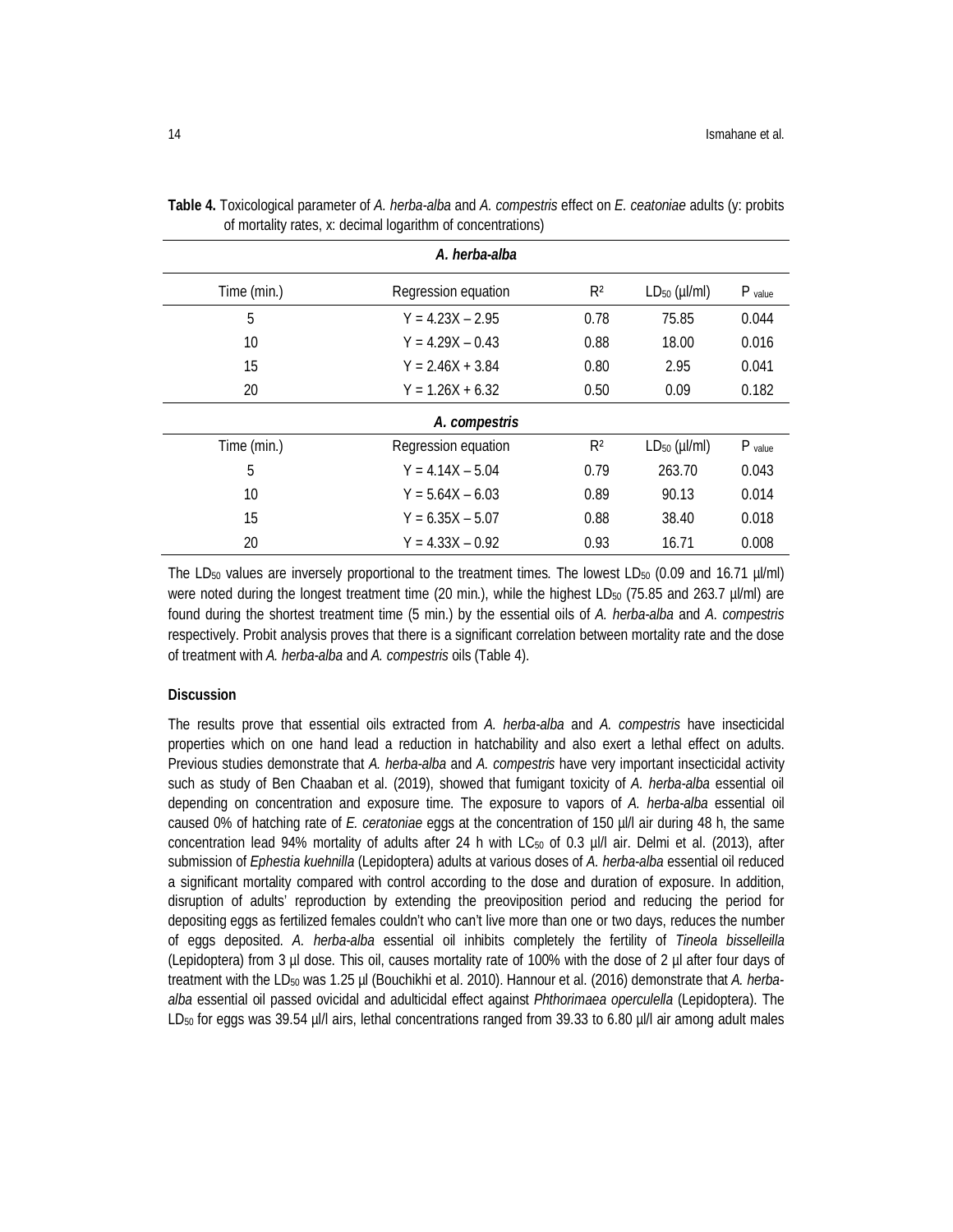| A. herba-alba |                                       |                |                         |           |  |  |  |
|---------------|---------------------------------------|----------------|-------------------------|-----------|--|--|--|
| Time (min.)   | R <sup>2</sup><br>Regression equation |                |                         |           |  |  |  |
| 5             | $Y = 4.23X - 2.95$                    | 0.78           | 75.85                   | 0.044     |  |  |  |
| 10            | $Y = 4.29X - 0.43$                    |                | 18.00                   | 0.016     |  |  |  |
| 15            | $Y = 2.46X + 3.84$                    |                | 2.95                    | 0.041     |  |  |  |
| 20            | $Y = 1.26X + 6.32$                    |                | 0.09                    | 0.182     |  |  |  |
| A. compestris |                                       |                |                         |           |  |  |  |
| Time (min.)   | Regression equation                   | R <sup>2</sup> | $LD_{50}$ ( $\mu$ I/ml) | $P$ value |  |  |  |
| 5             | $Y = 4.14X - 5.04$                    | 0.79           | 263.70                  | 0.043     |  |  |  |
| 10            | $Y = 5.64X - 6.03$                    | 0.89           | 90.13                   | 0.014     |  |  |  |
| 15            | $Y = 6.35X - 5.07$                    | 0.88           | 38.40                   | 0.018     |  |  |  |
| 20            | $Y = 4.33X - 0.92$                    | 0.93           | 16.71                   | 0.008     |  |  |  |

**Table 4.** Toxicological parameter of *A. herba-alba* and *A. compestris* effect on *E. ceatoniae* adults (y: probits of mortality rates, x: decimal logarithm of concentrations)

The LD<sub>50</sub> values are inversely proportional to the treatment times. The lowest LD<sub>50</sub> (0.09 and 16.71 µl/ml) were noted during the longest treatment time (20 min.), while the highest LD<sub>50</sub> (75.85 and 263.7 µl/ml) are found during the shortest treatment time (5 min.) by the essential oils of *A. herba-alba* and *A*. *compestris* respectively. Probit analysis proves that there is a significant correlation between mortality rate and the dose of treatment with *A. herba-alba* and *A. compestris* oils (Table 4).

### **Discussion**

The results prove that essential oils extracted from *A. herba-alba* and *A. compestris* have insecticidal properties which on one hand lead a reduction in hatchability and also exert a lethal effect on adults. Previous studies demonstrate that *A. herba-alba* and *A. compestris* have very important insecticidal activity such as study of Ben Chaaban et al. (2019), showed that fumigant toxicity of *A. herba-alba* essential oil depending on concentration and exposure time. The exposure to vapors of *A. herba-alba* essential oil caused 0% of hatching rate of *E. ceratoniae* eggs at the concentration of 150 µl/l air during 48 h, the same concentration lead 94% mortality of adults after 24 h with  $LC_{50}$  of 0.3 µl/l air. Delmi et al. (2013), after submission of *Ephestia kuehnilla* (Lepidoptera) adults at various doses of *A. herba-alba* essential oil reduced a significant mortality compared with control according to the dose and duration of exposure. In addition, disruption of adults' reproduction by extending the preoviposition period and reducing the period for depositing eggs as fertilized females couldn't who can't live more than one or two days, reduces the number of eggs deposited. *A. herba-alba* essential oil inhibits completely the fertility of *Tineola bisselleilla* (Lepidoptera) from 3 µl dose. This oil, causes mortality rate of 100% with the dose of 2 µl after four days of treatment with the LD<sup>50</sup> was 1.25 µl (Bouchikhi et al. 2010). Hannour et al. (2016) demonstrate that *A. herbaalba* essential oil passed ovicidal and adulticidal effect against *Phthorimaea operculella* (Lepidoptera). The LD<sub>50</sub> for eggs was 39.54 µl/l airs, lethal concentrations ranged from 39.33 to 6.80 µl/l air among adult males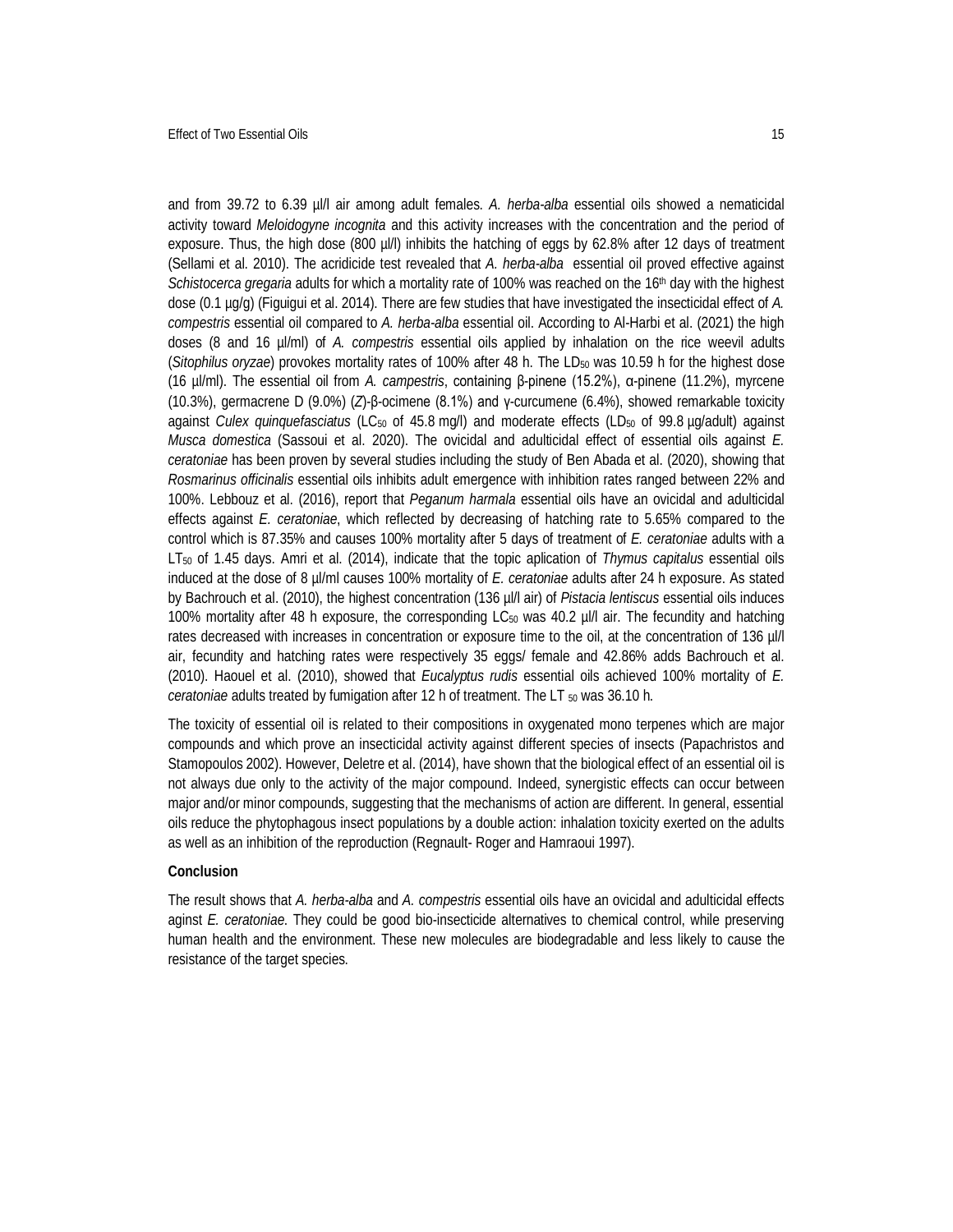and from 39.72 to 6.39 µl/l air among adult females. *A. herba-alba* essential oils showed a nematicidal activity toward *Meloidogyne incognita* and this activity increases with the concentration and the period of exposure. Thus, the high dose (800 µl/l) inhibits the hatching of eggs by 62.8% after 12 days of treatment (Sellami et al. 2010). The acridicide test revealed that *A. herba-alba* essential oil proved effective against *Schistocerca gregaria* adults for which a mortality rate of 100% was reached on the 16th day with the highest dose (0.1 µg/g) (Figuigui et al. 2014). There are few studies that have investigated the insecticidal effect of *A. compestris* essential oil compared to *A. herba-alba* essential oil. According to Al-Harbi et al. (2021) the high doses (8 and 16 µl/ml) of *A. compestris* essential oils applied by inhalation on the rice weevil adults (*Sitophilus oryzae*) provokes mortality rates of 100% after 48 h. The LD<sup>50</sup> was 10.59 h for the highest dose (16 µl/ml). The essential oil from *A. campestris*, containing β-pinene (15.2%), α-pinene (11.2%), myrcene (10.3%), germacrene D (9.0%) (*Z*)-β-ocimene (8.1%) and γ-curcumene (6.4%), showed remarkable toxicity against *Culex quinquefasciatus* (LC<sub>50</sub> of 45.8 mg/l) and moderate effects (LD<sub>50</sub> of 99.8 µg/adult) against *Musca domestica* (Sassoui et al. 2020). The ovicidal and adulticidal effect of essential oils against *E. ceratoniae* has been proven by several studies including the study of Ben Abada et al. (2020), showing that *Rosmarinus officinalis* essential oils inhibits adult emergence with inhibition rates ranged between 22% and 100%. Lebbouz et al. (2016), report that *Peganum harmala* essential oils have an ovicidal and adulticidal effects against *E. ceratoniae*, which reflected by decreasing of hatching rate to 5.65% compared to the control which is 87.35% and causes 100% mortality after 5 days of treatment of *E. ceratoniae* adults with a LT<sup>50</sup> of 1.45 days. Amri et al. (2014), indicate that the topic aplication of *Thymus capitalus* essential oils induced at the dose of 8 µl/ml causes 100% mortality of *E. ceratoniae* adults after 24 h exposure. As stated by Bachrouch et al. (2010), the highest concentration (136 µl/l air) of *Pistacia lentiscus* essential oils induces 100% mortality after 48 h exposure, the corresponding LC<sub>50</sub> was 40.2 µl/l air. The fecundity and hatching rates decreased with increases in concentration or exposure time to the oil, at the concentration of 136 µl/l air, fecundity and hatching rates were respectively 35 eggs/ female and 42.86% adds Bachrouch et al. (2010). Haouel et al. (2010), showed that *Eucalyptus rudis* essential oils achieved 100% mortality of *E. ceratoniae* adults treated by fumigation after 12 h of treatment. The LT  $_{50}$  was 36.10 h.

The toxicity of essential oil is related to their compositions in oxygenated mono terpenes which are major compounds and which prove an insecticidal activity against different species of insects (Papachristos and Stamopoulos 2002). However, Deletre et al. (2014), have shown that the biological effect of an essential oil is not always due only to the activity of the major compound. Indeed, synergistic effects can occur between major and/or minor compounds, suggesting that the mechanisms of action are different. In general, essential oils reduce the phytophagous insect populations by a double action: inhalation toxicity exerted on the adults as well as an inhibition of the reproduction (Regnault- Roger and Hamraoui 1997).

#### **Conclusion**

The result shows that *A. herba-alba* and *A. compestris* essential oils have an ovicidal and adulticidal effects aginst *E. ceratoniae*. They could be good bio-insecticide alternatives to chemical control, while preserving human health and the environment. These new molecules are biodegradable and less likely to cause the resistance of the target species.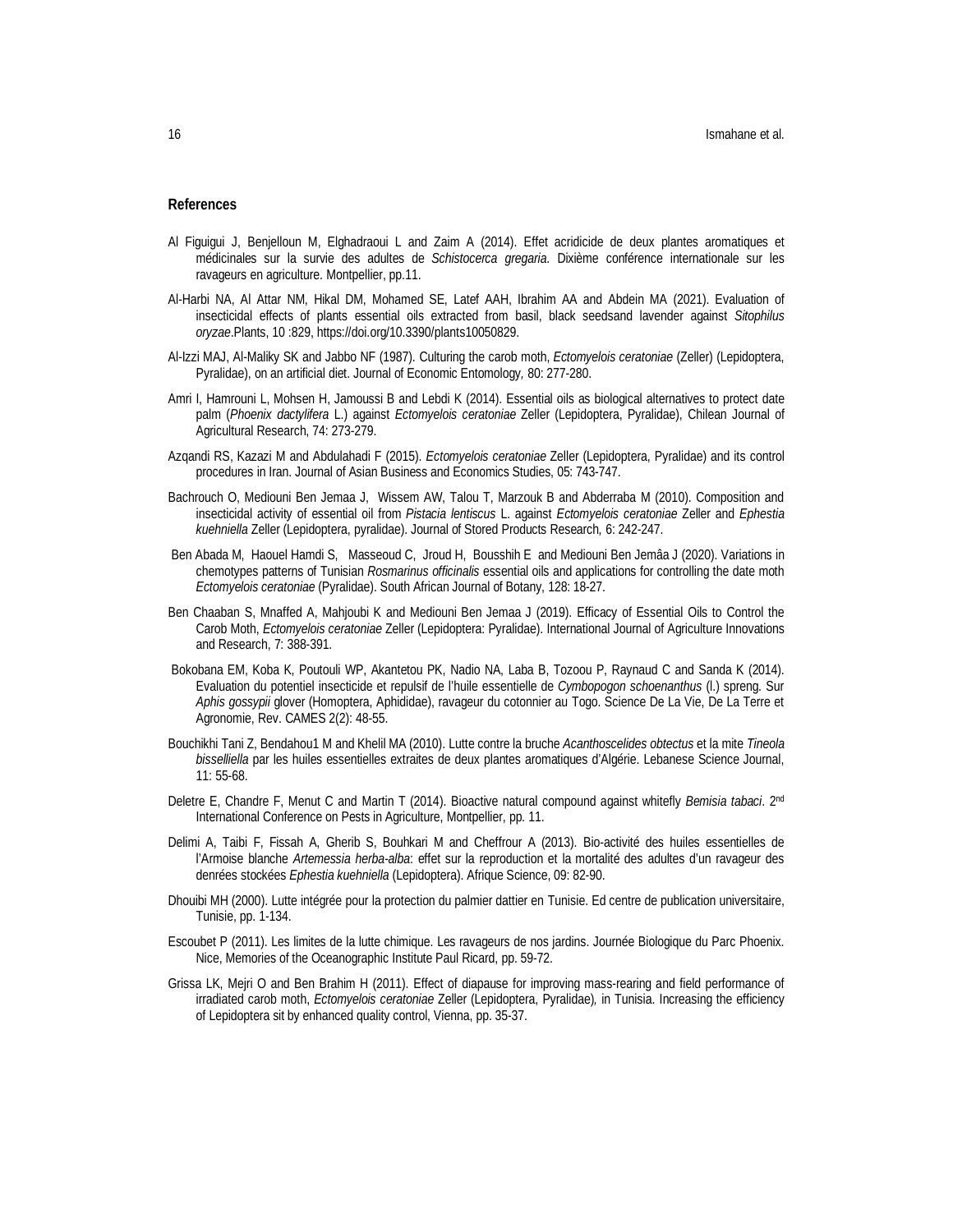#### **References**

- Al Figuigui J, Benjelloun M, Elghadraoui L and Zaim A (2014). Effet acridicide de deux plantes aromatiques et médicinales sur la survie des adultes de *Schistocerca gregaria*. Dixième conférence internationale sur les ravageurs en agriculture. Montpellier, pp.11.
- Al-Harbi NA, Al Attar NM, Hikal DM, Mohamed SE, Latef AAH, Ibrahim AA and Abdein MA (2021). Evaluation of insecticidal effects of plants essential oils extracted from basil, black seedsand lavender against *Sitophilus oryzae*.Plants, 10 :829, https://doi.org/10.3390/plants10050829.
- Al-Izzi MAJ, Al-Maliky SK and Jabbo NF (1987). Culturing the carob moth, *Ectomyelois ceratoniae* (Zeller) (Lepidoptera, Pyralidae), on an artificial diet. Journal of Economic Entomology*,* 80: 277-280.
- Amri I, Hamrouni L, Mohsen H, Jamoussi B and Lebdi K (2014). Essential oils as biological alternatives to protect date palm (*Phoenix dactylifera* L.) against *Ectomyelois ceratoniae* Zeller (Lepidoptera, Pyralidae), Chilean Journal of Agricultural Research, 74: 273-279.
- Azqandi RS, Kazazi M and Abdulahadi F (2015). *Ectomyelois ceratoniae* Zeller (Lepidoptera, Pyralidae) and its control procedures in Iran. Journal of Asian Business and Economics Studies, 05: 743-747.
- Bachrouch O, Mediouni Ben Jemaa J, Wissem AW, Talou T, Marzouk B and Abderraba M (2010). Composition and insecticidal activity of essential oil from *Pistacia lentiscus* L. against *Ectomyelois ceratoniae* Zeller and *Ephestia kuehniella* Zeller (Lepidoptera, pyralidae). Journal of Stored Products Research*,* 6: 242-247.
- Ben Abada M, Haouel Hamdi S, Masseoud C, Jroud H, Bousshih E and Mediouni Ben Jemâa J (2020). Variations in chemotypes patterns of Tunisian *Rosmarinus officinalis* essential oils and applications for controlling the date moth *Ectomyelois ceratoniae* (Pyralidae). South African Journal of Botany, 128: 18-27.
- Ben Chaaban S, Mnaffed A, Mahjoubi K and Mediouni Ben Jemaa J (2019). Efficacy of Essential Oils to Control the Carob Moth, *Ectomyelois ceratoniae* Zeller (Lepidoptera: Pyralidae). International Journal of Agriculture Innovations and Research, 7: 388-391.
- Bokobana EM, Koba K, Poutouli WP, Akantetou PK, Nadio NA, Laba B, Tozoou P, Raynaud C and Sanda K (2014). Evaluation du potentiel insecticide et repulsif de l'huile essentielle de *Cymbopogon schoenanthus* (l.) spreng. Sur *Aphis gossypii* glover (Homoptera, Aphididae), ravageur du cotonnier au Togo. Science De La Vie, De La Terre et Agronomie, Rev. CAMES 2(2): 48-55.
- Bouchikhi Tani Z, Bendahou1 M and Khelil MA (2010). Lutte contre la bruche *Acanthoscelides obtectus* et la mite *Tineola bisselliella* par les huiles essentielles extraites de deux plantes aromatiques d'Algérie. Lebanese Science Journal, 11: 55-68.
- Deletre E, Chandre F, Menut C and Martin T (2014). Bioactive natural compound against whitefly *Bemisia tabaci*. 2nd International Conference on Pests in Agriculture, Montpellier, pp. 11.
- Delimi A, Taibi F, Fissah A, Gherib S, Bouhkari M and Cheffrour A (2013). Bio-activité des huiles essentielles de l'Armoise blanche *Artemessia herba-alba*: effet sur la reproduction et la mortalité des adultes d'un ravageur des denrées stockées *Ephestia kuehniella* (Lepidoptera). Afrique Science, 09: 82-90.
- Dhouibi MH (2000). Lutte intégrée pour la protection du palmier dattier en Tunisie. Ed centre de publication universitaire, Tunisie, pp. 1-134.
- Escoubet P (2011). Les limites de la lutte chimique. Les ravageurs de nos jardins. Journée Biologique du Parc Phoenix. Nice, Memories of the Oceanographic Institute Paul Ricard, pp. 59-72.
- Grissa LK, Mejri O and Ben Brahim H (2011). Effect of diapause for improving mass-rearing and field performance of irradiated carob moth, *Ectomyelois ceratoniae* Zeller (Lepidoptera, Pyralidae)*,* in Tunisia. Increasing the efficiency of Lepidoptera sit by enhanced quality control, Vienna, pp. 35-37.